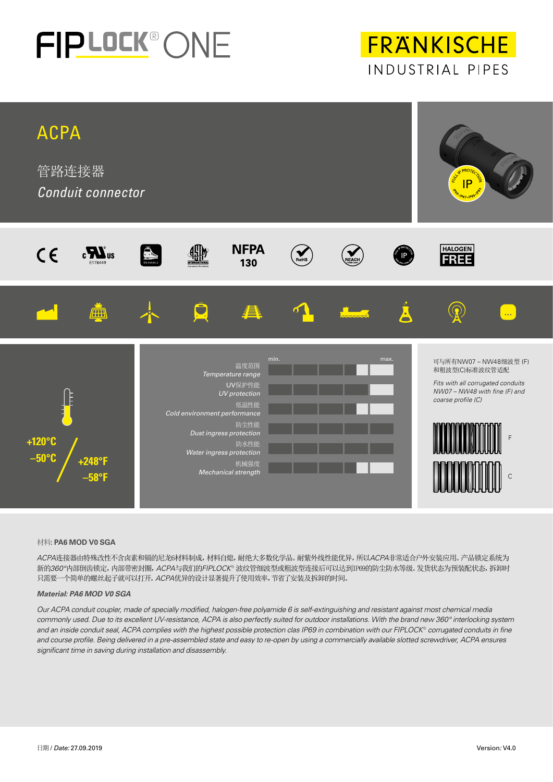

**FRANKISCHE** INDUSTRIAL PIPES



### 材料**: PA6 MOD V0 SGA**

*ACPA*连接器由特殊改性不含卤素和镉的尼龙6材料制成,材料自熄,耐绝大多数化学品。耐紫外线性能优异,所以*ACPA*非常适合户外安装应用。产品锁定系统为 新的*360°*内部倒齿锁定,内部带密封圈,*ACPA*与我们的*FIPLOCK®* 波纹管细波型或粗波型连接后可以达到IP69的防尘防水等级。发货状态为预装配状态,拆卸时 只需要一个简单的螺丝起子就可以打开。*ACPA*优异的设计显著提升了使用效率,节省了安装及拆卸的时间。

### *Material: PA6 MOD V0 SGA*

*Our ACPA conduit coupler, made of specially modified, halogen-free polyamide 6 is self-extinguishing and resistant against most chemical media commonly used. Due to its excellent UV-resistance, ACPA is also perfectly suited for outdoor installations. With the brand new 360° interlocking system and an inside conduit seal, ACPA complies with the highest possible protection clas IP69 in combination with our FIPLOCK*® *corrugated conduits in fine*  and course profile. Being delivered in a pre-assembled state and easy to re-open by using a commercially available slotted screwdriver, ACPA ensures *significant time in saving during installation and disassembly.*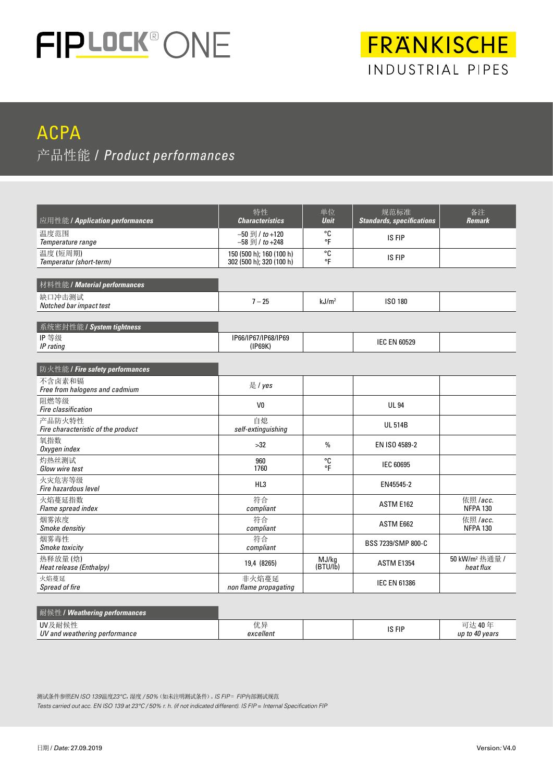

# FRANKISCHE INDUSTRIAL PIPES

## ACPA 产品性能 / *Product performances*

| 应用性能 / Application performances              | 特性<br><b>Characteristics</b>                         | 单位<br>规范标准<br><b>Unit</b><br><b>Standards, specifications</b> |                     | 备注<br><b>Remark</b>                     |
|----------------------------------------------|------------------------------------------------------|---------------------------------------------------------------|---------------------|-----------------------------------------|
| 温度范围<br>Temperature range                    | $-50$ 到 / to +120<br>$-58$ 到 / to +248               | °C<br>°F                                                      | IS FIP              |                                         |
| 温度(短周期)<br>Temperatur (short-term)           | 150 (500 h); 160 (100 h)<br>302 (500 h); 320 (100 h) | °C<br>°F                                                      | IS FIP              |                                         |
| 材料性能 / Material performances                 |                                                      |                                                               |                     |                                         |
| 缺口冲击测试<br>Notched bar impact test            | $7 - 25$                                             | kJ/m <sup>2</sup>                                             | ISO 180             |                                         |
| 系统密封性能 / System tightness                    |                                                      |                                                               |                     |                                         |
| IP等级<br>IP rating                            | IP66/IP67/IP68/IP69<br>(IP69K)                       |                                                               | <b>IEC EN 60529</b> |                                         |
| 防火性能 / Fire safety performances              |                                                      |                                                               |                     |                                         |
| 不含卤素和镉<br>Free from halogens and cadmium     | 是 / yes                                              |                                                               |                     |                                         |
| 阻燃等级<br>Fire classification                  | V <sub>0</sub>                                       |                                                               | <b>UL 94</b>        |                                         |
| 产品防火特性<br>Fire characteristic of the product | 自熄<br>self-extinguishing                             |                                                               | <b>UL 514B</b>      |                                         |
| 氧指数<br>Oxygen index                          | >32                                                  | $\%$                                                          | EN ISO 4589-2       |                                         |
| 灼热丝测试<br>Glow wire test                      | 960<br>1760                                          | °C<br>۰Ē                                                      | <b>IEC 60695</b>    |                                         |
| 火灾危害等级<br>Fire hazardous level               | HL3                                                  |                                                               | EN45545-2           |                                         |
| 火焰蔓延指数<br>Flame spread index                 | 符合<br>compliant                                      |                                                               | ASTM E162           | 依照 /acc.<br><b>NFPA 130</b>             |
| 烟雾浓度<br>Smoke densitiv                       | 符合<br>compliant                                      |                                                               | ASTM E662           | 依照 /acc.<br><b>NFPA 130</b>             |
| 烟雾毒性<br><b>Smoke toxicity</b>                | 符合<br>compliant                                      |                                                               | BSS 7239/SMP 800-C  |                                         |
| 热释放量(焓)<br>Heat release (Enthalpy)           | 19,4 (8265)                                          | MJ/kg<br>(BTU/Ib)                                             | <b>ASTM E1354</b>   | 50 kW/m <sup>2</sup> 热通量 /<br>heat flux |
| 火焰蔓延<br>Spread of fire                       | 非火焰蔓延<br>non flame propagating                       |                                                               | <b>IEC EN 61386</b> |                                         |

| <b> 耐候性/Weathering performances</b>     |                        |        |                               |
|-----------------------------------------|------------------------|--------|-------------------------------|
| UV及耐候性<br>UV and weathering performance | 优号<br>リレナ<br>excellent | IS FIP | 达 40年<br>יש<br>up to 40 years |

测试条件参照*EN ISO 139*温度*23°C*,湿度 */ 50%*(如未注明测试条件)。*IS FIP* = *FIP*内部测试规范 *Tests carried out acc. EN ISO 139 at 23°C / 50% r. h. (if not indicated different). IS FIP = Internal Specification FIP*